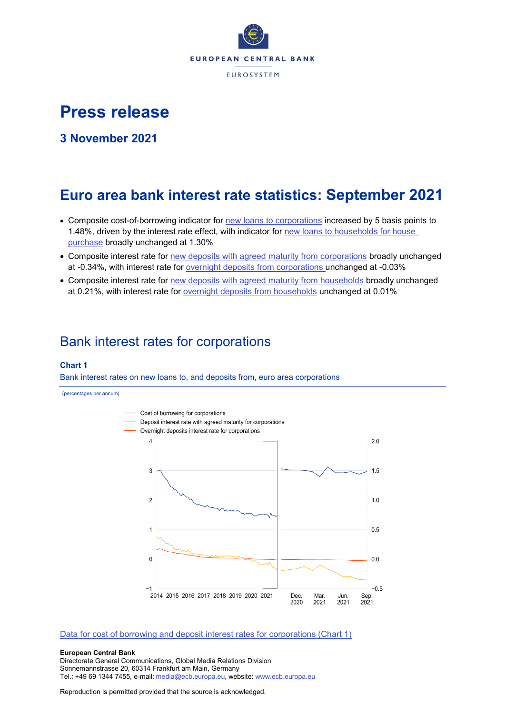

# **Press release**

**3 November 2021**

# **Euro area bank interest rate statistics: September 2021**

- Composite cost-of-borrowing indicator for [new loans to corporations](http://sdw.ecb.europa.eu/quickview.do?SERIES_KEY=124.MIR.M.U2.B.A2I.AM.R.A.2240.EUR.N) increased by 5 basis points to 1.48%, driven by the interest rate effect, with indicator for new loans to households for house [purchase](http://sdw.ecb.europa.eu/quickview.do?SERIES_KEY=124.MIR.M.U2.B.A2C.AM.R.A.2250.EUR.N) broadly unchanged at 1.30%
- Composite interest rate for [new deposits with agreed maturity from corporations](http://sdw.ecb.europa.eu/quickview.do?SERIES_KEY=124.MIR.M.U2.B.L22.A.R.A.2240.EUR.N) broadly unchanged at -0.34%, with interest rate for [overnight deposits](http://sdw.ecb.europa.eu/quickview.do?SERIES_KEY=124.MIR.M.U2.B.L21.A.R.A.2240.EUR.N) from corporations unchanged at -0.03%
- Composite interest rate for [new deposits with agreed maturity from households](http://sdw.ecb.europa.eu/quickview.do?SERIES_KEY=124.MIR.M.U2.B.L22.A.R.A.2250.EUR.N) broadly unchanged at 0.21%, with interest rate for [overnight deposits](http://sdw.ecb.europa.eu/quickview.do?SERIES_KEY=124.MIR.M.U2.B.L21.A.R.A.2250.EUR.N) from households unchanged at 0.01%

## Bank interest rates for corporations

## **Chart 1**

Bank interest rates on new loans to, and deposits from, euro area corporations

(percentages per annum)



### [Data for cost of borrowing and deposit interest rates for corporations \(Chart 1\)](http://sdw.ecb.europa.eu/browseSelection.do?type=series&q=MIR.M.U2.B.L22.A.R.A.2240.EUR.N+MIR.M.U2.B.A2I.AM.R.A.2240.EUR.N+MIR.M.U2.B.L21.A.R.A.2240.EUR.N&node=SEARCHRESULTS)

#### **European Central Bank**

Directorate General Communications, Global Media Relations Division Sonnemannstrasse 20, 60314 Frankfurt am Main, Germany Tel.: +49 69 1344 7455, e-mail: [media@ecb.europa.eu,](mailto:media@ecb.europa.eu) website: [www.ecb.europa.eu](http://www.ecb.europa.eu/)

Reproduction is permitted provided that the source is acknowledged.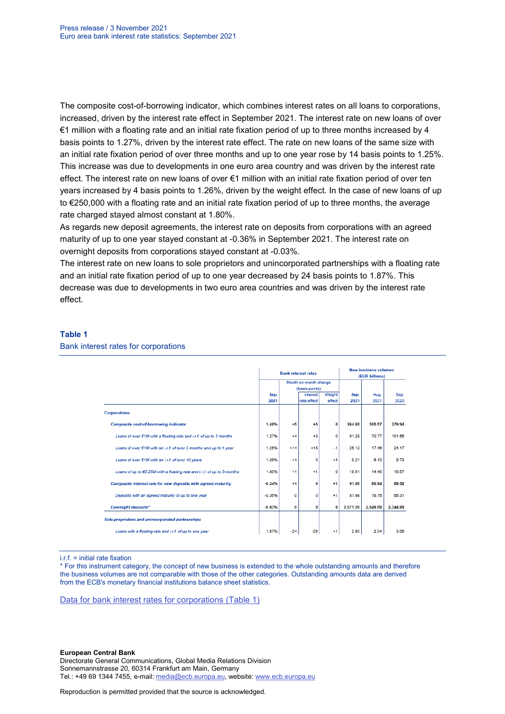The composite cost-of-borrowing indicator, which combines interest rates on all loans to corporations, increased, driven by the interest rate effect in September 2021. The interest rate on new loans of over €1 million with a floating rate and an initial rate fixation period of up to three months increased by 4 basis points to 1.27%, driven by the interest rate effect. The rate on new loans of the same size with an initial rate fixation period of over three months and up to one year rose by 14 basis points to 1.25%. This increase was due to developments in one euro area country and was driven by the interest rate effect. The interest rate on new loans of over €1 million with an initial rate fixation period of over ten years increased by 4 basis points to 1.26%, driven by the weight effect. In the case of new loans of up to €250,000 with a floating rate and an initial rate fixation period of up to three months, the average rate charged stayed almost constant at 1.80%.

As regards new deposit agreements, the interest rate on deposits from corporations with an agreed maturity of up to one year stayed constant at -0.36% in September 2021. The interest rate on overnight deposits from corporations stayed constant at -0.03%.

The interest rate on new loans to sole proprietors and unincorporated partnerships with a floating rate and an initial rate fixation period of up to one year decreased by 24 basis points to 1.87%. This decrease was due to developments in two euro area countries and was driven by the interest rate effect.

### **Table 1**

#### Bank interest rates for corporations

|                                                                               |          |                | <b>Bank interest rates</b> | <b>New business volumes</b><br>(EUR billions) |          |          |          |
|-------------------------------------------------------------------------------|----------|----------------|----------------------------|-----------------------------------------------|----------|----------|----------|
|                                                                               |          |                | Month-on-month change      |                                               |          |          |          |
|                                                                               |          | (basis points) |                            |                                               |          |          |          |
|                                                                               | Sep.     |                | Weight<br><b>Interest</b>  |                                               | Sep.     | Aug.     | Sep.     |
|                                                                               | 2021     |                | rate effect                | effect                                        | 2021     | 2021     | 2020     |
| <b>Corporations</b>                                                           |          |                |                            |                                               |          |          |          |
| <b>Composite cost-of-borrowing indicator</b>                                  | 1.48%    | $+5$           | $+5$                       | 0                                             | 264.68   | 265.57   | 279.94   |
| Loans of over $\epsilon$ 1M with a floating rate and i.r.f. of up to 3 months | 1.27%    | $+4$           | $+3$                       | o                                             | 91.28    | 70.77    | 101.55   |
| Loans of over €1M with an i.r.f. of over 3 months and up to 1 year            | 1.25%    | $+14$          | $+15$                      | $-1$                                          | 25.12    | 17.46    | 24.17    |
| Loans of over €1M with an i.r.f. of over 10 years                             | 1.26%    | $+4$           | 0                          | $+4$                                          | 9.21     | 6.13     | 8.73     |
| Loans of up to €0.25M with a floating rate and i.r.f. of up to 3 months       | 1.80%    | $+1$           | $+1$                       | 0                                             | 18.01    | 14.45    | 18.57    |
| Composite interest rate for new deposits with agreed maturity                 | $-0.34%$ | $+1$           | $\bf{0}$                   | $+1$                                          | 91.50    | 80.94    | 89.52    |
| Deposits with an agreed maturity of up to one year                            | $-0.36%$ | 0              | 0                          | $+1$                                          | 87.99    | 78.75    | 85.31    |
| <b>Overnight deposits*</b>                                                    | $-0.03%$ | $\bf{0}$       | 0                          | 0                                             | 2.571.20 | 2.549.59 | 2.344.89 |
| Sole proprietors and unincorporated partnerships                              |          |                |                            |                                               |          |          |          |
| Loans with a floating rate and i.r.f. of up to one year                       | 1.87%    | $-24$          | $-25$                      | $+1$                                          | 2.80     | 2.34     | 3.06     |

i.r.f. = initial rate fixation

\* For this instrument category, the concept of new business is extended to the whole outstanding amounts and therefore the business volumes are not comparable with those of the other categories. Outstanding amounts data are derived from the ECB's monetary financial institutions balance sheet statistics.

[Data for bank interest rates for corporations \(Table 1\)](http://sdw.ecb.europa.eu/browseSelection.do?type=series&q=MIR.M.U2.B.A2I.AM.R.A.2240.EUR.N+MIR.M.U2.B.A2A.D.R.1.2240.EUR.N+MIR.M.U2.B.A2A.Q.R.1.2240.EUR.N+MIR.M.U2.B.A2A.P.R.1.2240.EUR.N++MIR.M.U2.B.A2A.D.R.2.2240.EUR.N++MIR.M.U2.B.L22.F.R.A.2240.EUR.N++MIR.M.U2.B.A2D.F.R.A.2253.EUR.N+MIR.M.U2.B.L22.A.R.A.2240.EUR.N+MIR.M.U2.B.L21.A.R.A.2240.EUR.N+&node=SEARCHRESULTS&ec=&oc=&rc=&cv=&pb=&dc=&df=)

#### **European Central Bank**

Directorate General Communications, Global Media Relations Division Sonnemannstrasse 20, 60314 Frankfurt am Main, Germany Tel.: +49 69 1344 7455, e-mail: [media@ecb.europa.eu,](mailto:media@ecb.europa.eu) website: [www.ecb.europa.eu](http://www.ecb.europa.eu/)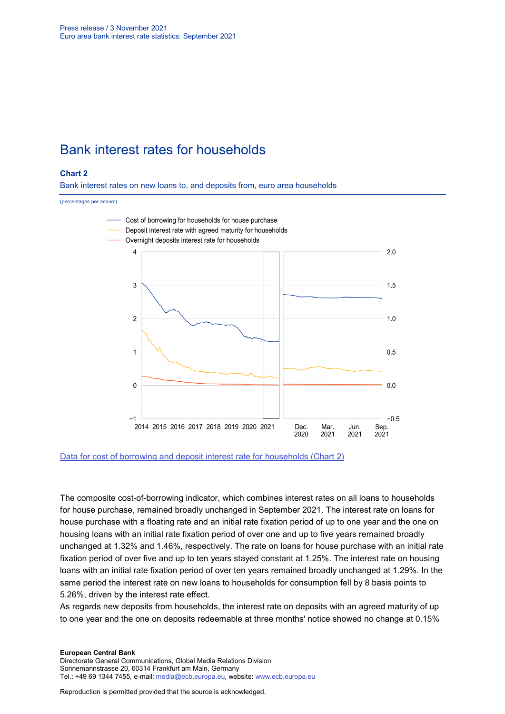## Bank interest rates for households

## **Chart 2**

Bank interest rates on new loans to, and deposits from, euro area households

#### (percentages per annum)



[Data for cost of borrowing and deposit interest rate for households \(Chart 2\)](http://sdw.ecb.europa.eu/browseSelection.do?type=series&q=MIR.M.U2.B.L22.A.R.A.2250.EUR.N+MIR.M.U2.B.A2C.AM.R.A.2250.EUR.N+MIR.M.U2.B.L21.A.R.A.2250.EUR.N&node=SEARCHRESULTS)

The composite cost-of-borrowing indicator, which combines interest rates on all loans to households for house purchase, remained broadly unchanged in September 2021. The interest rate on loans for house purchase with a floating rate and an initial rate fixation period of up to one year and the one on housing loans with an initial rate fixation period of over one and up to five years remained broadly unchanged at 1.32% and 1.46%, respectively. The rate on loans for house purchase with an initial rate fixation period of over five and up to ten years stayed constant at 1.25%. The interest rate on housing loans with an initial rate fixation period of over ten years remained broadly unchanged at 1.29%. In the same period the interest rate on new loans to households for consumption fell by 8 basis points to 5.26%, driven by the interest rate effect.

As regards new deposits from households, the interest rate on deposits with an agreed maturity of up to one year and the one on deposits redeemable at three months' notice showed no change at 0.15%

Directorate General Communications, Global Media Relations Division Sonnemannstrasse 20, 60314 Frankfurt am Main, Germany Tel.: +49 69 1344 7455, e-mail: [media@ecb.europa.eu,](mailto:media@ecb.europa.eu) website: [www.ecb.europa.eu](http://www.ecb.europa.eu/)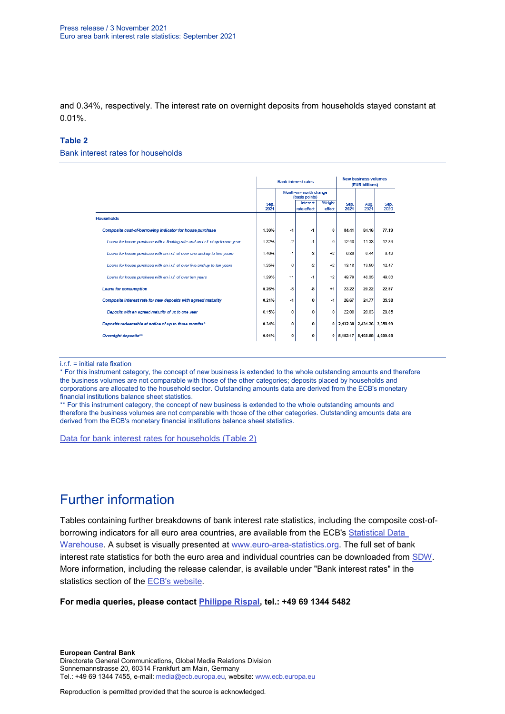and 0.34%, respectively. The interest rate on overnight deposits from households stayed constant at 0.01%.

## **Table 2**

Bank interest rates for households

|                                                                               |              |                                         | <b>Bank interest rates</b> | <b>New business volumes</b><br>(EUR billions) |              |                            |              |
|-------------------------------------------------------------------------------|--------------|-----------------------------------------|----------------------------|-----------------------------------------------|--------------|----------------------------|--------------|
|                                                                               |              | Month-on-month change<br>(basis points) |                            |                                               |              |                            |              |
|                                                                               | Sep.<br>2021 |                                         | Interest<br>rate effect    | Weight<br>effect                              | Sep.<br>2021 | Aug.<br>2021               | Sep.<br>2020 |
| <b>Households</b>                                                             |              |                                         |                            |                                               |              |                            |              |
| Composite cost-of-borrowing indicator for house purchase                      | 1.30%        | $-1$                                    | $-1$                       | 0                                             | 84.41        | 84.16                      | 77.19        |
| Loans for house purchase with a floating rate and an i.r.f. of up to one year | 1.32%        | -2                                      | $-1$                       | 0                                             | 12.40        | 11.33                      | 12.84        |
| Loans for house purchase with an i.r.f. of over one and up to five years      | 1.46%        | $-1$                                    | $-3$                       | $+2$                                          | 6.86         | 6.44                       | 6.42         |
| Loans for house purchase with an i.r.f. of over five and up to ten years      | 1.25%        | 0                                       | $-2$                       | $+2$                                          | 13.18        | 13.50                      | 12.47        |
| Loans for house purchase with an i.r.f. of over ten years                     | 1.29%        | $+1$                                    | $-1$                       | $+2$                                          | 49.79        | 48.35                      | 49.06        |
| <b>Loans for consumption</b>                                                  | 5.26%        | -8                                      | -8                         | $+1$                                          | 23.22        | 20.22                      | 22.97        |
| Composite interest rate for new deposits with agreed maturity                 | 0.21%        | -1                                      | $\bf{0}$                   | $-1$                                          | 26.67        | 24.77                      | 35.98        |
| Deposits with an agreed maturity of up to one year                            | 0.15%        | 0                                       | 0                          | 0                                             | 22.00        | 20.03                      | 28.85        |
| Deposits redeemable at notice of up to three months*                          | 0.34%        | 0                                       | $\bf{0}$                   | 0                                             |              | 2,432.38 2,431.26 2,358.99 |              |
| Overnight deposits <sup>**</sup>                                              | 0.01%        | 0                                       | $\bf{0}$                   | 0                                             |              | 5.182.17 5.168.58 4.699.08 |              |

i.r.f. = initial rate fixation

\* For this instrument category, the concept of new business is extended to the whole outstanding amounts and therefore the business volumes are not comparable with those of the other categories; deposits placed by households and corporations are allocated to the household sector. Outstanding amounts data are derived from the ECB's monetary financial institutions balance sheet statistics.

\*\* For this instrument category, the concept of new business is extended to the whole outstanding amounts and therefore the business volumes are not comparable with those of the other categories. Outstanding amounts data are derived from the ECB's monetary financial institutions balance sheet statistics.

[Data for bank interest rates for households \(Table 2\)](http://sdw.ecb.europa.eu/browseSelection.do?type=series&q=MIR.M.U2.B.A2C.AM.R.A.2250.EUR.N%2cMIR.M.U2.B.A2C.F.R.A.2250.EUR.N%2cMIR.M.U2.B.A2C.P.R.A.2250.EUR.N%2cMIR.M.U2.B.A2B.A.R.A.2250.EUR.N%2cMIR.M.U2.B.A2C.I.R.A.2250.EUR.N%2cMIR.M.U2.B.A2C.O.R.A.2250.EUR.N%2cMIR.M.U2.B.L22.F.R.A.2250.EUR.N%2cMIR.M.U2.B.L23.D.R.A.2250.EUR.N%2cMIR.M.U2.B.L22.A.R.A.2250.EUR.N%2cMIR.M.U2.B.L21.A.R.A.2250.EUR.N&node=SEARCHRESULTS&ec=&oc=&rc=&cv=&pb=&dc=&df=)

## Further information

Tables containing further breakdowns of bank interest rate statistics, including the composite cost-ofborrowing indicators for all euro area countries, are available from the ECB's [Statistical Data](http://sdw.ecb.europa.eu/reports.do?node=1000002880)  [Warehouse.](http://sdw.ecb.europa.eu/reports.do?node=1000002880) A subset is visually presented at [www.euro-area-statistics.org.](http://www.euro-area-statistics.org/) The full set of bank interest rate statistics for both the euro area and individual countries can be downloaded from [SDW.](http://sdw.ecb.europa.eu/browse.do?node=9691123) More information, including the release calendar, is available under "Bank interest rates" in the statistics section of the [ECB's website.](http://www.ecb.europa.eu/stats/financial_markets_and_interest_rates/bank_interest_rates/mfi_interest_rates/html/index.en.html)

**For media queries, please contact [Philippe Rispal,](mailto:Philippe.Rispal@ecb.europa.eu) tel.: +49 69 1344 5482**